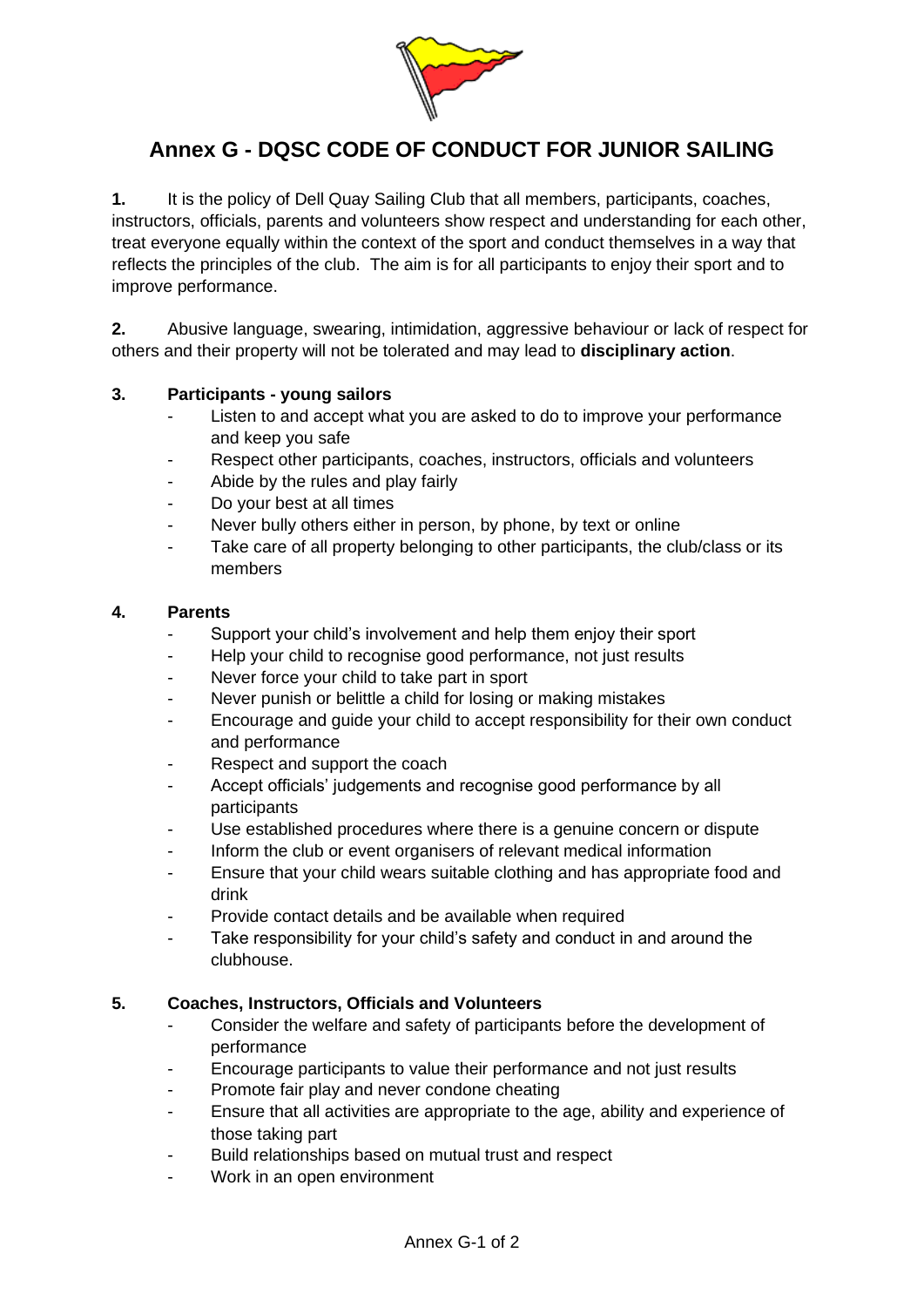

## **Annex G - DQSC CODE OF CONDUCT FOR JUNIOR SAILING**

**1.** It is the policy of Dell Quay Sailing Club that all members, participants, coaches, instructors, officials, parents and volunteers show respect and understanding for each other, treat everyone equally within the context of the sport and conduct themselves in a way that reflects the principles of the club. The aim is for all participants to enjoy their sport and to improve performance.

**2.** Abusive language, swearing, intimidation, aggressive behaviour or lack of respect for others and their property will not be tolerated and may lead to **disciplinary action**.

## **3. Participants - young sailors**

- Listen to and accept what you are asked to do to improve your performance and keep you safe
- Respect other participants, coaches, instructors, officials and volunteers
- Abide by the rules and play fairly
- Do your best at all times
- Never bully others either in person, by phone, by text or online
- Take care of all property belonging to other participants, the club/class or its members

## **4. Parents**

- Support your child's involvement and help them enjoy their sport
- Help your child to recognise good performance, not just results
- Never force your child to take part in sport
- Never punish or belittle a child for losing or making mistakes
- Encourage and guide your child to accept responsibility for their own conduct and performance
- Respect and support the coach
- Accept officials' judgements and recognise good performance by all participants
- Use established procedures where there is a genuine concern or dispute
- Inform the club or event organisers of relevant medical information
- Ensure that your child wears suitable clothing and has appropriate food and drink
- Provide contact details and be available when required
- Take responsibility for your child's safety and conduct in and around the clubhouse.

## **5. Coaches, Instructors, Officials and Volunteers**

- Consider the welfare and safety of participants before the development of performance
- Encourage participants to value their performance and not just results
- Promote fair play and never condone cheating
- Ensure that all activities are appropriate to the age, ability and experience of those taking part
- Build relationships based on mutual trust and respect
- Work in an open environment